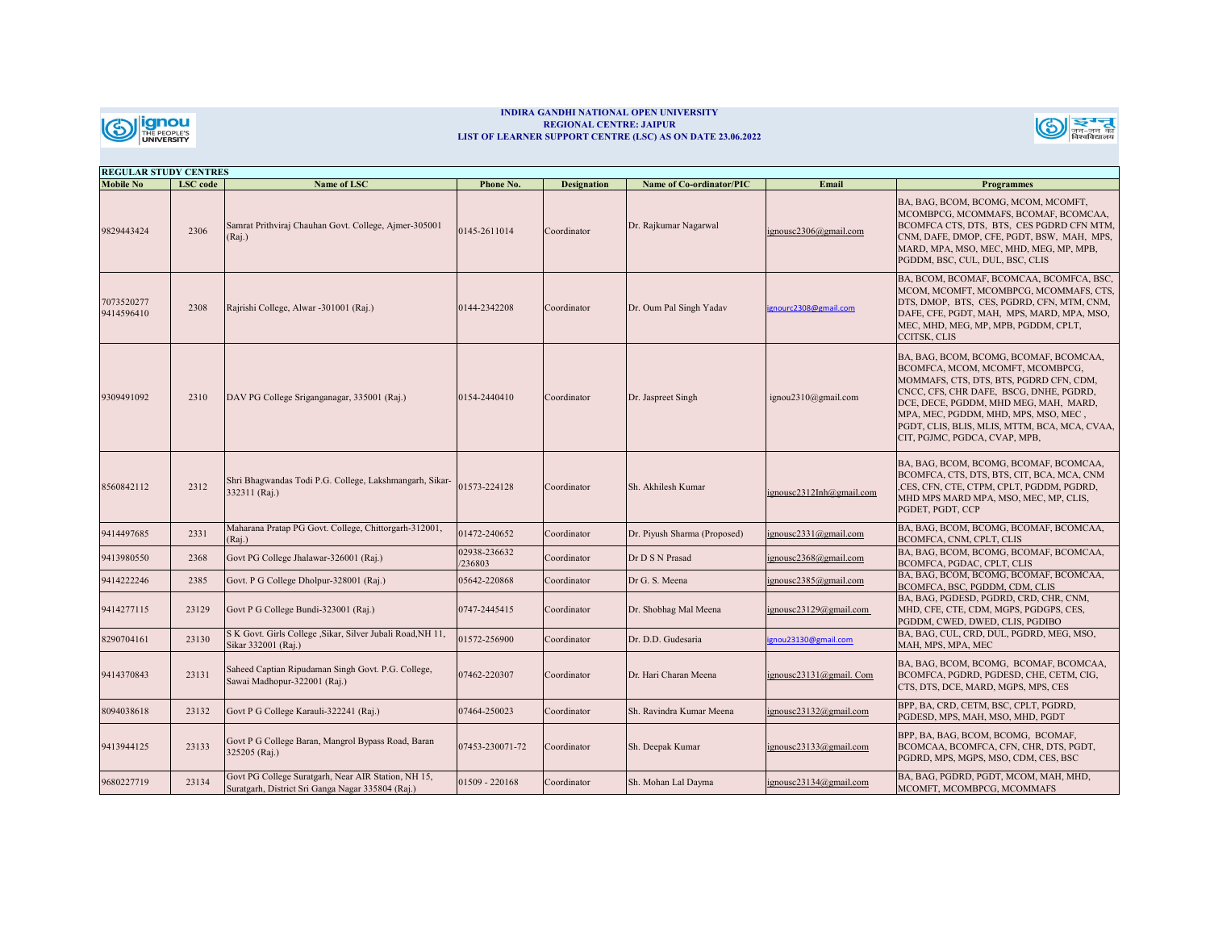

## **INDIRA GANDHI NATIONAL OPEN UNIVERSITY REGIONAL CENTRE: JAIPUR LIST OF LEARNER SUPPORT CENTRE (LSC) AS ON DATE 23.06.2022**



| <b>REGULAR STUDY CENTRES</b> |          |                                                                                                          |                        |                    |                                 |                          |                                                                                                                                                                                                                                                                                                                                     |  |
|------------------------------|----------|----------------------------------------------------------------------------------------------------------|------------------------|--------------------|---------------------------------|--------------------------|-------------------------------------------------------------------------------------------------------------------------------------------------------------------------------------------------------------------------------------------------------------------------------------------------------------------------------------|--|
| <b>Mobile No</b>             | LSC code | Name of LSC                                                                                              | Phone No.              | <b>Designation</b> | <b>Name of Co-ordinator/PIC</b> | Email                    | <b>Programmes</b>                                                                                                                                                                                                                                                                                                                   |  |
| 9829443424                   | 2306     | Samrat Prithviraj Chauhan Govt. College, Ajmer-305001<br>(Rai.)                                          | 0145-2611014           | Coordinator        | Dr. Rajkumar Nagarwal           | ignousc2306@gmail.com    | BA, BAG, BCOM, BCOMG, MCOM, MCOMFT,<br>MCOMBPCG, MCOMMAFS, BCOMAF, BCOMCAA,<br>BCOMFCA CTS, DTS, BTS, CES PGDRD CFN MTM,<br>CNM, DAFE, DMOP, CFE, PGDT, BSW, MAH, MPS,<br>MARD, MPA, MSO, MEC, MHD, MEG, MP, MPB,<br>PGDDM, BSC, CUL, DUL, BSC, CLIS                                                                                |  |
| '073520277<br>9414596410     | 2308     | Rajrishi College, Alwar -301001 (Raj.)                                                                   | 144-2342208            | Coordinator        | Dr. Oum Pal Singh Yadav         | ignourc2308@gmail.com    | BA, BCOM, BCOMAF, BCOMCAA, BCOMFCA, BSC,<br>MCOM, MCOMFT, MCOMBPCG, MCOMMAFS, CTS,<br>DTS, DMOP, BTS, CES, PGDRD, CFN, MTM, CNM,<br>DAFE, CFE, PGDT, MAH, MPS, MARD, MPA, MSO,<br>MEC, MHD, MEG, MP, MPB, PGDDM, CPLT,<br><b>CCITSK, CLIS</b>                                                                                       |  |
| 9309491092                   | 2310     | DAV PG College Sriganganagar, 335001 (Raj.)                                                              | 0154-2440410           | Coordinator        | Dr. Jaspreet Singh              | ignou2310@gmail.com      | BA, BAG, BCOM, BCOMG, BCOMAF, BCOMCAA,<br>BCOMFCA, MCOM, MCOMFT, MCOMBPCG,<br>MOMMAFS, CTS, DTS, BTS, PGDRD CFN, CDM,<br>CNCC, CFS, CHR DAFE, BSCG, DNHE, PGDRD,<br>DCE, DECE, PGDDM, MHD MEG, MAH, MARD,<br>MPA, MEC, PGDDM, MHD, MPS, MSO, MEC,<br>PGDT, CLIS, BLIS, MLIS, MTTM, BCA, MCA, CVAA,<br>CIT, PGJMC, PGDCA, CVAP, MPB, |  |
| 8560842112                   | 2312     | Shri Bhagwandas Todi P.G. College, Lakshmangarh, Sikar-<br>332311 (Raj.)                                 | 01573-224128           | Coordinator        | Sh. Akhilesh Kumar              | ignousc2312Inh@gmail.com | BA, BAG, BCOM, BCOMG, BCOMAF, BCOMCAA,<br>BCOMFCA, CTS, DTS, BTS, CIT, BCA, MCA, CNM<br>CES, CFN, CTE, CTPM, CPLT, PGDDM, PGDRD,<br>MHD MPS MARD MPA, MSO, MEC, MP, CLIS,<br>PGDET, PGDT, CCP                                                                                                                                       |  |
| 9414497685                   | 2331     | Maharana Pratap PG Govt. College, Chittorgarh-312001,<br>(Rai.)                                          | 1472-240652            | Coordinator        | Dr. Piyush Sharma (Proposed)    | ignousc2331@gmail.com    | BA, BAG, BCOM, BCOMG, BCOMAF, BCOMCAA,<br>BCOMFCA, CNM, CPLT, CLIS                                                                                                                                                                                                                                                                  |  |
| 9413980550                   | 2368     | Govt PG College Jhalawar-326001 (Raj.)                                                                   | 02938-236632<br>236803 | Coordinator        | Dr D S N Prasad                 | gnousc2368@gmail.com     | BA, BAG, BCOM, BCOMG, BCOMAF, BCOMCAA,<br>BCOMFCA, PGDAC, CPLT, CLIS                                                                                                                                                                                                                                                                |  |
| 9414222246                   | 2385     | Govt. P G College Dholpur-328001 (Raj.)                                                                  | 05642-220868           | Coordinator        | Dr G. S. Meena                  | ignousc2385@gmail.com    | BA, BAG, BCOM, BCOMG, BCOMAF, BCOMCAA,<br>BCOMFCA, BSC, PGDDM, CDM, CLIS                                                                                                                                                                                                                                                            |  |
| 9414277115                   | 23129    | Govt P G College Bundi-323001 (Raj.)                                                                     | 0747-2445415           | Coordinator        | Dr. Shobhag Mal Meena           | ignousc23129@gmail.com   | BA, BAG, PGDESD, PGDRD, CRD, CHR, CNM,<br>MHD, CFE, CTE, CDM, MGPS, PGDGPS, CES,<br>PGDDM, CWED, DWED, CLIS, PGDIBO                                                                                                                                                                                                                 |  |
| 8290704161                   | 23130    | S K Govt. Girls College , Sikar, Silver Jubali Road, NH 11,<br>Sikar 332001 (Raj.)                       | 01572-256900           | Coordinator        | Dr. D.D. Gudesaria              | ignou23130@gmail.com     | BA, BAG, CUL, CRD, DUL, PGDRD, MEG, MSO,<br>MAH, MPS, MPA, MEC                                                                                                                                                                                                                                                                      |  |
| 9414370843                   | 23131    | Saheed Captian Ripudaman Singh Govt. P.G. College,<br>Sawai Madhopur-322001 (Raj.)                       | 07462-220307           | Coordinator        | Dr. Hari Charan Meena           | ignousc23131@gmail. Com  | BA, BAG, BCOM, BCOMG, BCOMAF, BCOMCAA,<br>BCOMFCA, PGDRD, PGDESD, CHE, CETM, CIG,<br>CTS, DTS, DCE, MARD, MGPS, MPS, CES                                                                                                                                                                                                            |  |
| 8094038618                   | 23132    | Govt P G College Karauli-322241 (Raj.)                                                                   | 07464-250023           | Coordinator        | Sh. Ravindra Kumar Meena        | ignousc23132@gmail.com   | BPP, BA, CRD, CETM, BSC, CPLT, PGDRD,<br>PGDESD, MPS, MAH, MSO, MHD, PGDT                                                                                                                                                                                                                                                           |  |
| 9413944125                   | 23133    | Govt P G College Baran, Mangrol Bypass Road, Baran<br>325205 (Raj.)                                      | 07453-230071-72        | Coordinator        | Sh. Deepak Kumar                | ignousc23133@gmail.com   | BPP, BA, BAG, BCOM, BCOMG, BCOMAF,<br>BCOMCAA, BCOMFCA, CFN, CHR, DTS, PGDT,<br>PGDRD, MPS, MGPS, MSO, CDM, CES, BSC                                                                                                                                                                                                                |  |
| 9680227719                   | 23134    | Govt PG College Suratgarh, Near AIR Station, NH 15,<br>Suratgarh, District Sri Ganga Nagar 335804 (Raj.) | 1509 - 220168          | Coordinator        | Sh. Mohan Lal Dayma             | ignousc23134@gmail.com   | BA, BAG, PGDRD, PGDT, MCOM, MAH, MHD,<br>MCOMFT, MCOMBPCG, MCOMMAFS                                                                                                                                                                                                                                                                 |  |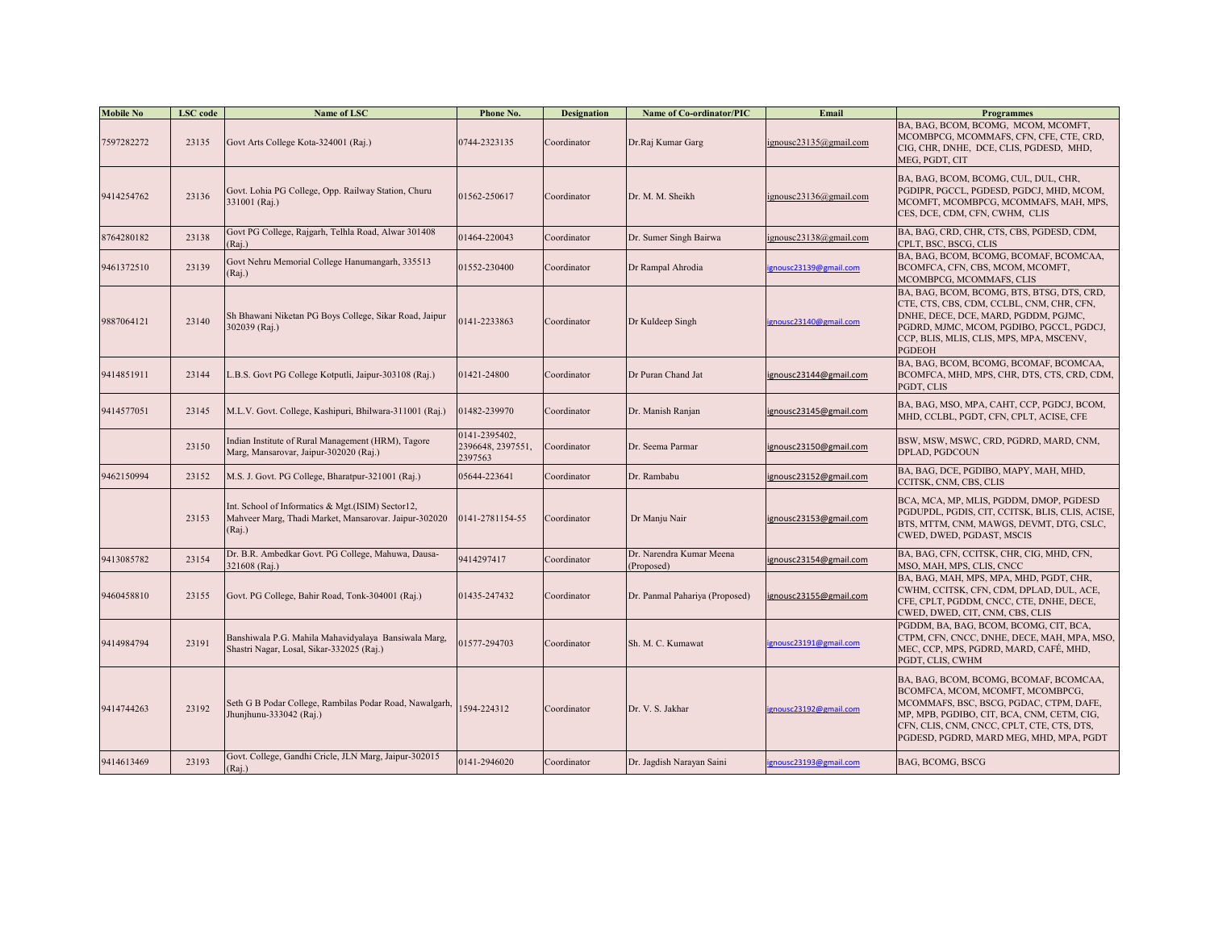| <b>Mobile No</b> | <b>LSC</b> code | Name of LSC                                                                                                          | Phone No.                                     | <b>Designation</b> | Name of Co-ordinator/PIC               | Email                  | <b>Programmes</b>                                                                                                                                                                                                                                            |
|------------------|-----------------|----------------------------------------------------------------------------------------------------------------------|-----------------------------------------------|--------------------|----------------------------------------|------------------------|--------------------------------------------------------------------------------------------------------------------------------------------------------------------------------------------------------------------------------------------------------------|
| 7597282272       | 23135           | Govt Arts College Kota-324001 (Raj.)                                                                                 | 0744-2323135                                  | Coordinator        | Dr.Raj Kumar Garg                      | ignousc23135@gmail.com | BA, BAG, BCOM, BCOMG, MCOM, MCOMFT,<br>MCOMBPCG, MCOMMAFS, CFN, CFE, CTE, CRD,<br>CIG, CHR, DNHE, DCE, CLIS, PGDESD, MHD,<br>MEG, PGDT, CIT                                                                                                                  |
| 9414254762       | 23136           | Govt. Lohia PG College, Opp. Railway Station, Churu<br>331001 (Raj.)                                                 | 1562-250617                                   | Coordinator        | Dr. M. M. Sheikh                       | ignousc23136@gmail.com | BA, BAG, BCOM, BCOMG, CUL, DUL, CHR,<br>PGDIPR, PGCCL, PGDESD, PGDCJ, MHD, MCOM,<br>MCOMFT, MCOMBPCG, MCOMMAFS, MAH, MPS,<br>CES, DCE, CDM, CFN, CWHM, CLIS                                                                                                  |
| 8764280182       | 23138           | Govt PG College, Rajgarh, Telhla Road, Alwar 301408<br>(Raj.)                                                        | 01464-220043                                  | Coordinator        | Dr. Sumer Singh Bairwa                 | ignousc23138@gmail.com | BA, BAG, CRD, CHR, CTS, CBS, PGDESD, CDM,<br>CPLT, BSC, BSCG, CLIS                                                                                                                                                                                           |
| 9461372510       | 23139           | Govt Nehru Memorial College Hanumangarh, 335513<br>(Raj.)                                                            | 1552-230400                                   | Coordinator        | Dr Rampal Ahrodia                      | gnousc23139@gmail.com  | BA, BAG, BCOM, BCOMG, BCOMAF, BCOMCAA,<br>BCOMFCA, CFN, CBS, MCOM, MCOMFT,<br>MCOMBPCG, MCOMMAFS, CLIS                                                                                                                                                       |
| 9887064121       | 23140           | Sh Bhawani Niketan PG Boys College, Sikar Road, Jaipur<br>302039 (Raj.)                                              | 141-2233863                                   | Coordinator        | Dr Kuldeep Singh                       | ignousc23140@gmail.com | BA, BAG, BCOM, BCOMG, BTS, BTSG, DTS, CRD,<br>CTE, CTS, CBS, CDM, CCLBL, CNM, CHR, CFN,<br>DNHE, DECE, DCE, MARD, PGDDM, PGJMC,<br>PGDRD, MJMC, MCOM, PGDIBO, PGCCL, PGDCJ,<br>CCP, BLIS, MLIS, CLIS, MPS, MPA, MSCENV,<br><b>PGDEOH</b>                     |
| 9414851911       | 23144           | .B.S. Govt PG College Kotputli, Jaipur-303108 (Raj.)                                                                 | 1421-24800                                    | Coordinator        | Dr Puran Chand Jat                     | ignousc23144@gmail.com | BA, BAG, BCOM, BCOMG, BCOMAF, BCOMCAA,<br>BCOMFCA, MHD, MPS, CHR, DTS, CTS, CRD, CDM,<br>PGDT, CLIS                                                                                                                                                          |
| 9414577051       | 23145           | M.L.V. Govt. College, Kashipuri, Bhilwara-311001 (Raj.)                                                              | 01482-239970                                  | Coordinator        | Dr. Manish Ranjan                      | ignousc23145@gmail.com | BA, BAG, MSO, MPA, CAHT, CCP, PGDCJ, BCOM,<br>MHD, CCLBL, PGDT, CFN, CPLT, ACISE, CFE                                                                                                                                                                        |
|                  | 23150           | Indian Institute of Rural Management (HRM), Tagore<br>Marg, Mansarovar, Jaipur-302020 (Raj.)                         | 0141-2395402,<br>2396648, 2397551,<br>2397563 | Coordinator        | Dr. Seema Parmar                       | ignousc23150@gmail.com | BSW, MSW, MSWC, CRD, PGDRD, MARD, CNM,<br><b>DPLAD, PGDCOUN</b>                                                                                                                                                                                              |
| 9462150994       | 23152           | M.S. J. Govt. PG College, Bharatpur-321001 (Raj.)                                                                    | 05644-223641                                  | Coordinator        | Dr. Rambabu                            | ignousc23152@gmail.com | BA, BAG, DCE, PGDIBO, MAPY, MAH, MHD,<br>CCITSK, CNM, CBS, CLIS                                                                                                                                                                                              |
|                  | 23153           | Int. School of Informatics & Mgt.(ISIM) Sector12,<br>Mahveer Marg, Thadi Market, Mansarovar. Jaipur-302020<br>(Raj.) | 0141-2781154-55                               | Coordinator        | Dr Manju Nair                          | ignousc23153@gmail.com | BCA, MCA, MP, MLIS, PGDDM, DMOP, PGDESD<br>PGDUPDL, PGDIS, CIT, CCITSK, BLIS, CLIS, ACISE,<br>BTS, MTTM, CNM, MAWGS, DEVMT, DTG, CSLC,<br>CWED, DWED, PGDAST, MSCIS                                                                                          |
| 9413085782       | 23154           | Dr. B.R. Ambedkar Govt. PG College, Mahuwa, Dausa-<br>321608 (Raj.)                                                  | 9414297417                                    | Coordinator        | Dr. Narendra Kumar Meena<br>(Proposed) | ignousc23154@gmail.com | BA, BAG, CFN, CCITSK, CHR, CIG, MHD, CFN,<br>MSO, MAH, MPS, CLIS, CNCC                                                                                                                                                                                       |
| 9460458810       | 23155           | Govt. PG College, Bahir Road, Tonk-304001 (Raj.)                                                                     | 01435-247432                                  | Coordinator        | Dr. Panmal Pahariya (Proposed)         | ignousc23155@gmail.com | BA, BAG, MAH, MPS, MPA, MHD, PGDT, CHR,<br>CWHM, CCITSK, CFN, CDM, DPLAD, DUL, ACE,<br>CFE, CPLT, PGDDM, CNCC, CTE, DNHE, DECE,<br>CWED, DWED, CIT, CNM, CBS, CLIS                                                                                           |
| 9414984794       | 23191           | Banshiwala P.G. Mahila Mahavidyalaya Bansiwala Marg,<br>Shastri Nagar, Losal, Sikar-332025 (Raj.)                    | 1577-294703                                   | Coordinator        | Sh. M. C. Kumawat                      | gnousc23191@gmail.com  | PGDDM, BA, BAG, BCOM, BCOMG, CIT, BCA,<br>CTPM, CFN, CNCC, DNHE, DECE, MAH, MPA, MSO,<br>MEC, CCP, MPS, PGDRD, MARD, CAFÉ, MHD,<br>PGDT, CLIS, CWHM                                                                                                          |
| 9414744263       | 23192           | Seth G B Podar College, Rambilas Podar Road, Nawalgarh,<br>Jhunjhunu-333042 (Raj.)                                   | 1594-224312                                   | Coordinator        | Dr. V. S. Jakhar                       | ignousc23192@gmail.com | BA, BAG, BCOM, BCOMG, BCOMAF, BCOMCAA,<br>BCOMFCA, MCOM, MCOMFT, MCOMBPCG,<br>MCOMMAFS, BSC, BSCG, PGDAC, CTPM, DAFE,<br>MP, MPB, PGDIBO, CIT, BCA, CNM, CETM, CIG,<br>CFN, CLIS, CNM, CNCC, CPLT, CTE, CTS, DTS,<br>PGDESD, PGDRD, MARD MEG, MHD, MPA, PGDT |
| 9414613469       | 23193           | Govt. College, Gandhi Cricle, JLN Marg, Jaipur-302015<br>(Rai.)                                                      | 0141-2946020                                  | Coordinator        | Dr. Jagdish Narayan Saini              | ignousc23193@gmail.com | BAG, BCOMG, BSCG                                                                                                                                                                                                                                             |